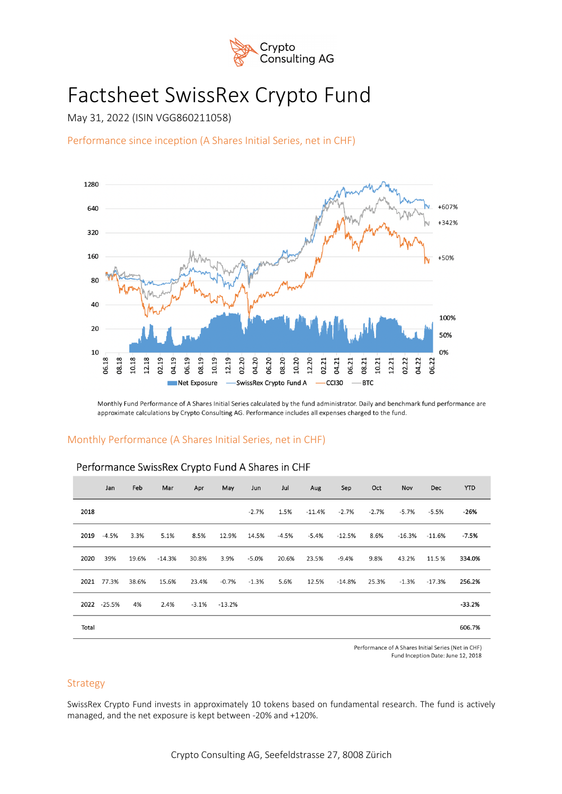

# Factsheet SwissRex Crypto Fund

May 31, 2022 (ISIN VGG860211058)

Performance since inception (A Shares Initial Series, net in CHF)



Monthly Fund Performance of A Shares Initial Series calculated by the fund administrator. Daily and benchmark fund performance are approximate calculations by Crypto Consulting AG. Performance includes all expenses charged to the fund.

# Monthly Performance (A Shares Initial Series, net in CHF)

|       | Jan         | Feb   | Mar      | Apr   | May              | Jun     | Jul     | Aug      | Sep      | Oct     | Nov      | <b>Dec</b> | <b>YTD</b> |
|-------|-------------|-------|----------|-------|------------------|---------|---------|----------|----------|---------|----------|------------|------------|
| 2018  |             |       |          |       |                  | $-2.7%$ | 1.5%    | $-11.4%$ | $-2.7%$  | $-2.7%$ | $-5.7%$  | $-5.5%$    | $-26%$     |
| 2019  | $-4.5%$     | 3.3%  | 5.1%     | 8.5%  | 12.9%            | 14.5%   | $-4.5%$ | $-5.4%$  | $-12.5%$ | 8.6%    | $-16.3%$ | -11.6%     | $-7.5%$    |
| 2020  | 39%         | 19.6% | $-14.3%$ | 30.8% | 3.9%             | $-5.0%$ | 20.6%   | 23.5%    | $-9.4%$  | 9.8%    | 43.2%    | 11.5 %     | 334.0%     |
| 2021  | 77.3%       | 38.6% | 15.6%    | 23.4% | $-0.7%$          | $-1.3%$ | 5.6%    | 12.5%    | $-14.8%$ | 25.3%   | $-1.3%$  | $-17.3%$   | 256.2%     |
|       | 2022 -25.5% | 4%    | 2.4%     |       | $-3.1\% -13.2\%$ |         |         |          |          |         |          |            | $-33.2%$   |
| Total |             |       |          |       |                  |         |         |          |          |         |          |            | 606.7%     |

# Performance SwissRex Crypto Fund A Shares in CHF

Performance of A Shares Initial Series (Net in CHF) Fund Inception Date: June 12, 2018

## Strategy

SwissRex Crypto Fund invests in approximately 10 tokens based on fundamental research. The fund is actively managed, and the net exposure is kept between -20% and +120%.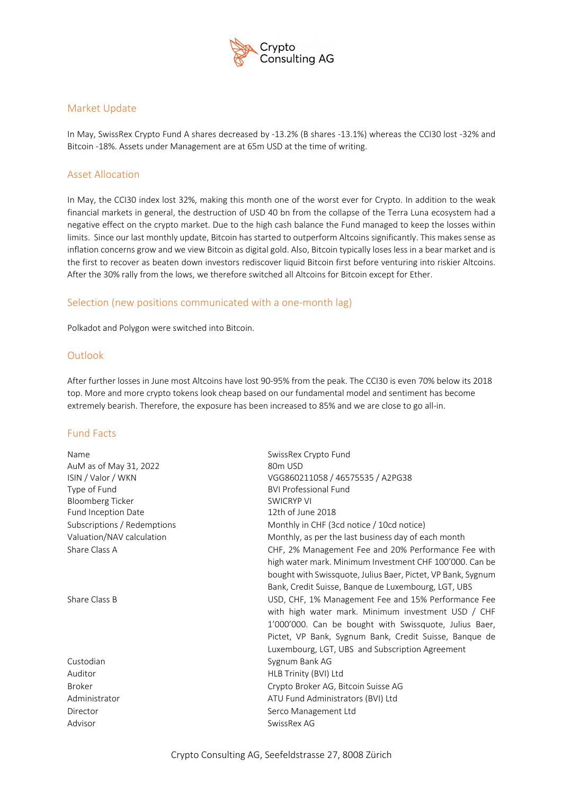

## Market Update

In May, SwissRex Crypto Fund A shares decreased by -13.2% (B shares -13.1%) whereas the CCI30 lost -32% and Bitcoin -18%. Assets under Management are at 65m USD at the time of writing.

# Asset Allocation

In May, the CCI30 index lost 32%, making this month one of the worst ever for Crypto. In addition to the weak financial markets in general, the destruction of USD 40 bn from the collapse of the Terra Luna ecosystem had a negative effect on the crypto market. Due to the high cash balance the Fund managed to keep the losses within limits. Since our last monthly update, Bitcoin has started to outperform Altcoins significantly. This makes sense as inflation concerns grow and we view Bitcoin as digital gold. Also, Bitcoin typically loses less in a bear market and is the first to recover as beaten down investors rediscover liquid Bitcoin first before venturing into riskier Altcoins. After the 30% rally from the lows, we therefore switched all Altcoins for Bitcoin except for Ether.

## Selection (new positions communicated with a one-month lag)

Polkadot and Polygon were switched into Bitcoin.

## **Outlook**

After further losses in June most Altcoins have lost 90-95% from the peak. The CCI30 is even 70% below its 2018 top. More and more crypto tokens look cheap based on our fundamental model and sentiment has become extremely bearish. Therefore, the exposure has been increased to 85% and we are close to go all-in.

## Fund Facts

| Name                        | SwissRex Crypto Fund                                         |  |  |  |  |  |
|-----------------------------|--------------------------------------------------------------|--|--|--|--|--|
| AuM as of May 31, 2022      | 80m USD                                                      |  |  |  |  |  |
| ISIN / Valor / WKN          | VGG860211058 / 46575535 / A2PG38                             |  |  |  |  |  |
| Type of Fund                | <b>BVI Professional Fund</b>                                 |  |  |  |  |  |
| Bloomberg Ticker            | <b>SWICRYP VI</b>                                            |  |  |  |  |  |
| <b>Fund Inception Date</b>  | 12th of June 2018                                            |  |  |  |  |  |
| Subscriptions / Redemptions | Monthly in CHF (3cd notice / 10cd notice)                    |  |  |  |  |  |
| Valuation/NAV calculation   | Monthly, as per the last business day of each month          |  |  |  |  |  |
| Share Class A               | CHF, 2% Management Fee and 20% Performance Fee with          |  |  |  |  |  |
|                             | high water mark. Minimum Investment CHF 100'000. Can be      |  |  |  |  |  |
|                             | bought with Swissquote, Julius Baer, Pictet, VP Bank, Sygnum |  |  |  |  |  |
|                             | Bank, Credit Suisse, Banque de Luxembourg, LGT, UBS          |  |  |  |  |  |
| Share Class B               | USD, CHF, 1% Management Fee and 15% Performance Fee          |  |  |  |  |  |
|                             | with high water mark. Minimum investment USD / CHF           |  |  |  |  |  |
|                             | 1'000'000. Can be bought with Swissquote, Julius Baer,       |  |  |  |  |  |
|                             | Pictet, VP Bank, Sygnum Bank, Credit Suisse, Banque de       |  |  |  |  |  |
|                             | Luxembourg, LGT, UBS and Subscription Agreement              |  |  |  |  |  |
| Custodian                   | Sygnum Bank AG                                               |  |  |  |  |  |
| Auditor                     | HLB Trinity (BVI) Ltd                                        |  |  |  |  |  |
| <b>Broker</b>               | Crypto Broker AG, Bitcoin Suisse AG                          |  |  |  |  |  |
| Administrator               | ATU Fund Administrators (BVI) Ltd                            |  |  |  |  |  |
| Director                    | Serco Management Ltd                                         |  |  |  |  |  |
| Advisor                     | SwissRex AG                                                  |  |  |  |  |  |